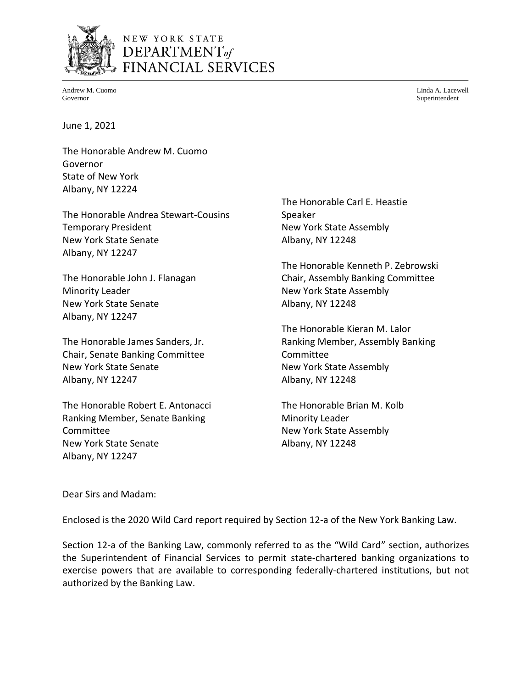

# NEW YORK STATE DEPARTMENT<sub>of</sub> FINANCIAL SERVICES

Andrew M. Cuomo Governor

Linda A. Lacewell Superintendent

June 1, 2021

The Honorable Andrew M. Cuomo Governor State of New York Albany, NY 12224

The Honorable Andrea Stewart-Cousins Temporary President New York State Senate Albany, NY 12247

The Honorable John J. Flanagan Minority Leader New York State Senate Albany, NY 12247

The Honorable James Sanders, Jr. Chair, Senate Banking Committee New York State Senate Albany, NY 12247

The Honorable Robert E. Antonacci Ranking Member, Senate Banking Committee New York State Senate Albany, NY 12247

The Honorable Carl E. Heastie Speaker New York State Assembly Albany, NY 12248

The Honorable Kenneth P. Zebrowski Chair, Assembly Banking Committee New York State Assembly Albany, NY 12248

The Honorable Kieran M. Lalor Ranking Member, Assembly Banking Committee New York State Assembly Albany, NY 12248

The Honorable Brian M. Kolb Minority Leader New York State Assembly Albany, NY 12248

Dear Sirs and Madam:

Enclosed is the 2020 Wild Card report required by Section 12-a of the New York Banking Law.

Section 12-a of the Banking Law, commonly referred to as the "Wild Card" section, authorizes the Superintendent of Financial Services to permit state-chartered banking organizations to exercise powers that are available to corresponding federally-chartered institutions, but not authorized by the Banking Law.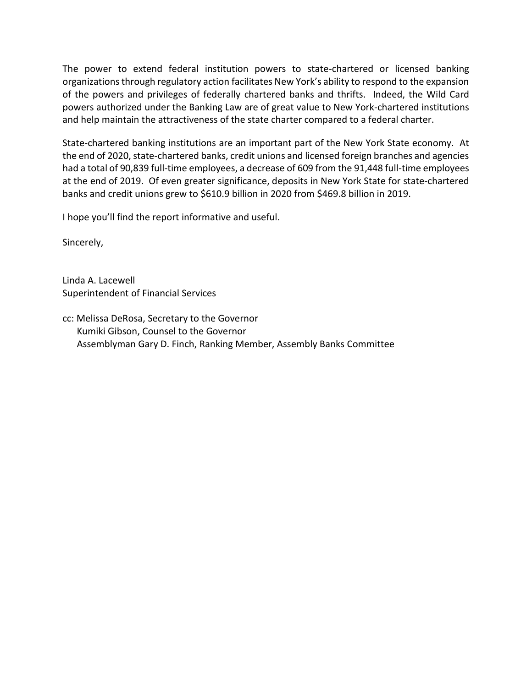The power to extend federal institution powers to state-chartered or licensed banking organizations through regulatory action facilitates New York's ability to respond to the expansion of the powers and privileges of federally chartered banks and thrifts. Indeed, the Wild Card powers authorized under the Banking Law are of great value to New York-chartered institutions and help maintain the attractiveness of the state charter compared to a federal charter.

State-chartered banking institutions are an important part of the New York State economy. At the end of 2020, state-chartered banks, credit unions and licensed foreign branches and agencies had a total of 90,839 full-time employees, a decrease of 609 from the 91,448 full-time employees at the end of 2019. Of even greater significance, deposits in New York State for state-chartered banks and credit unions grew to \$610.9 billion in 2020 from \$469.8 billion in 2019.

I hope you'll find the report informative and useful.

Sincerely,

Linda A. Lacewell Superintendent of Financial Services

cc: Melissa DeRosa, Secretary to the Governor Kumiki Gibson, Counsel to the Governor Assemblyman Gary D. Finch, Ranking Member, Assembly Banks Committee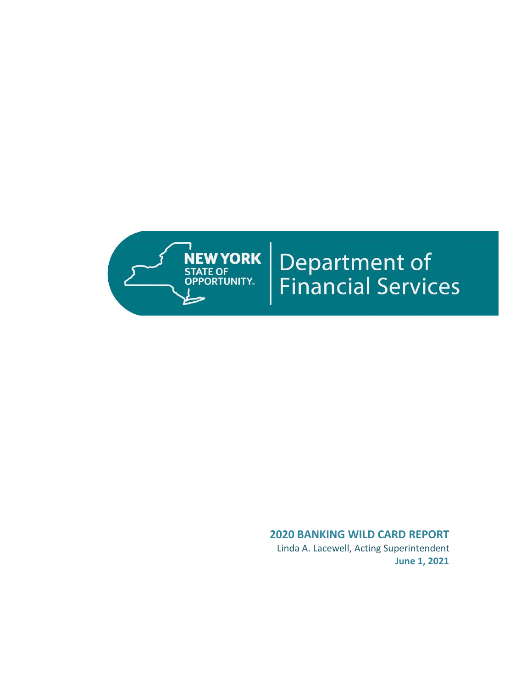

# **Department of<br>Financial Services**

# **2020 BANKING WILD CARD REPORT**

 Linda A. Lacewell, Acting Superintendent **June 1, 2021**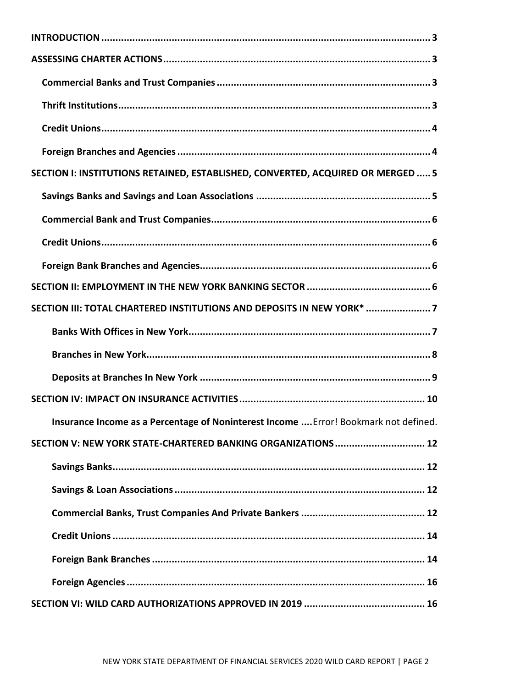| SECTION I: INSTITUTIONS RETAINED, ESTABLISHED, CONVERTED, ACQUIRED OR MERGED  5      |
|--------------------------------------------------------------------------------------|
|                                                                                      |
|                                                                                      |
|                                                                                      |
|                                                                                      |
|                                                                                      |
| SECTION III: TOTAL CHARTERED INSTITUTIONS AND DEPOSITS IN NEW YORK* 7                |
|                                                                                      |
|                                                                                      |
|                                                                                      |
|                                                                                      |
|                                                                                      |
| Insurance Income as a Percentage of Noninterest Income  Error! Bookmark not defined. |
| SECTION V: NEW YORK STATE-CHARTERED BANKING ORGANIZATIONS  12                        |
|                                                                                      |
|                                                                                      |
|                                                                                      |
|                                                                                      |
|                                                                                      |
|                                                                                      |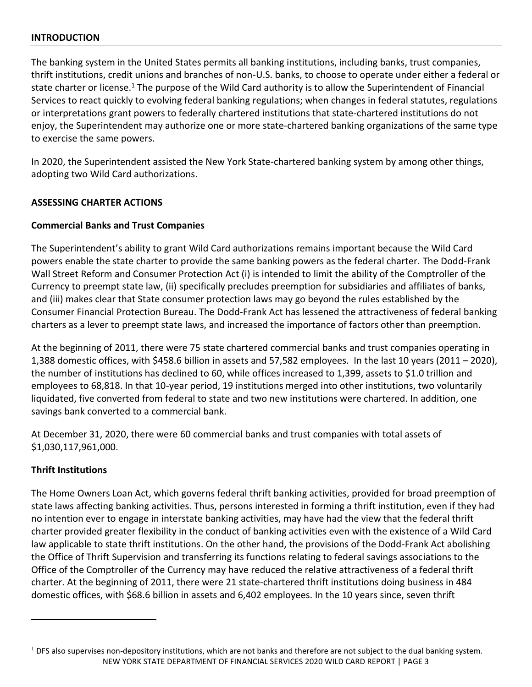# <span id="page-4-0"></span>**INTRODUCTION**

The banking system in the United States permits all banking institutions, including banks, trust companies, thrift institutions, credit unions and branches of non-U.S. banks, to choose to operate under either a federal or state charter or license.<sup>1</sup> The purpose of the Wild Card authority is to allow the Superintendent of Financial Services to react quickly to evolving federal banking regulations; when changes in federal statutes, regulations or interpretations grant powers to federally chartered institutions that state-chartered institutions do not enjoy, the Superintendent may authorize one or more state-chartered banking organizations of the same type to exercise the same powers.

In 2020, the Superintendent assisted the New York State-chartered banking system by among other things, adopting two Wild Card authorizations.

# <span id="page-4-1"></span>**ASSESSING CHARTER ACTIONS**

# <span id="page-4-2"></span>**Commercial Banks and Trust Companies**

The Superintendent's ability to grant Wild Card authorizations remains important because the Wild Card powers enable the state charter to provide the same banking powers as the federal charter. The Dodd-Frank Wall Street Reform and Consumer Protection Act (i) is intended to limit the ability of the Comptroller of the Currency to preempt state law, (ii) specifically precludes preemption for subsidiaries and affiliates of banks, and (iii) makes clear that State consumer protection laws may go beyond the rules established by the Consumer Financial Protection Bureau. The Dodd-Frank Act has lessened the attractiveness of federal banking charters as a lever to preempt state laws, and increased the importance of factors other than preemption.

At the beginning of 2011, there were 75 state chartered commercial banks and trust companies operating in 1,388 domestic offices, with \$458.6 billion in assets and 57,582 employees. In the last 10 years (2011 – 2020), the number of institutions has declined to 60, while offices increased to 1,399, assets to \$1.0 trillion and employees to 68,818. In that 10-year period, 19 institutions merged into other institutions, two voluntarily liquidated, five converted from federal to state and two new institutions were chartered. In addition, one savings bank converted to a commercial bank.

At December 31, 2020, there were 60 commercial banks and trust companies with total assets of \$1,030,117,961,000.

# <span id="page-4-3"></span>**Thrift Institutions**

The Home Owners Loan Act, which governs federal thrift banking activities, provided for broad preemption of state laws affecting banking activities. Thus, persons interested in forming a thrift institution, even if they had no intention ever to engage in interstate banking activities, may have had the view that the federal thrift charter provided greater flexibility in the conduct of banking activities even with the existence of a Wild Card law applicable to state thrift institutions. On the other hand, the provisions of the Dodd-Frank Act abolishing the Office of Thrift Supervision and transferring its functions relating to federal savings associations to the Office of the Comptroller of the Currency may have reduced the relative attractiveness of a federal thrift charter. At the beginning of 2011, there were 21 state-chartered thrift institutions doing business in 484 domestic offices, with \$68.6 billion in assets and 6,402 employees. In the 10 years since, seven thrift

NEW YORK STATE DEPARTMENT OF FINANCIAL SERVICES 2020 WILD CARD REPORT | PAGE 3  $<sup>1</sup>$  DFS also supervises non-depository institutions, which are not banks and therefore are not subject to the dual banking system.</sup>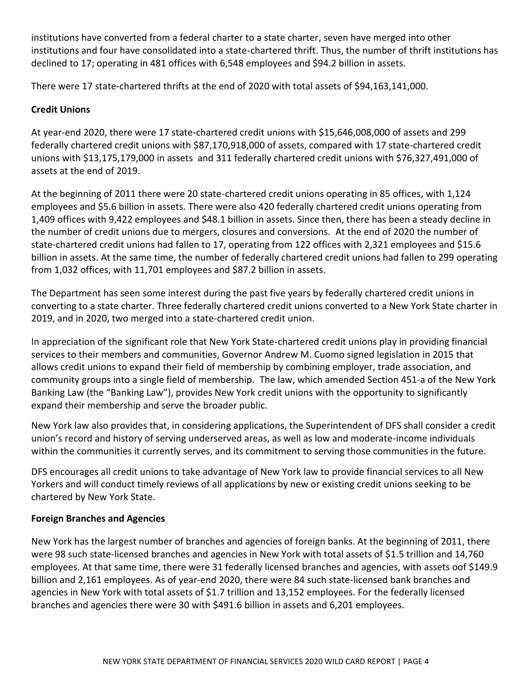institutions have converted from a federal charter to a state charter, seven have merged into other institutions and four have consolidated into a state-chartered thrift. Thus, the number of thrift institutions has declined to 17; operating in 481 offices with 6,548 employees and \$94.2 billion in assets.

There were 17 state-chartered thrifts at the end of 2020 with total assets of \$94,163,141,000.

# <span id="page-5-0"></span>**Credit Unions**

At year-end 2020, there were 17 state-chartered credit unions with \$15,646,008,000 of assets and 299 federally chartered credit unions with \$87,170,918,000 of assets, compared with 17 state-chartered credit unions with \$13,175,179,000 in assets and 311 federally chartered credit unions with \$76,327,491,000 of assets at the end of 2019.

At the beginning of 2011 there were 20 state-chartered credit unions operating in 85 offices, with 1,124 employees and \$5.6 billion in assets. There were also 420 federally chartered credit unions operating from 1,409 offices with 9,422 employees and \$48.1 billion in assets. Since then, there has been a steady decline in the number of credit unions due to mergers, closures and conversions. At the end of 2020 the number of state-chartered credit unions had fallen to 17, operating from 122 offices with 2,321 employees and \$15.6 billion in assets. At the same time, the number of federally chartered credit unions had fallen to 299 operating from 1,032 offices, with 11,701 employees and \$87.2 billion in assets.

The Department has seen some interest during the past five years by federally chartered credit unions in converting to a state charter. Three federally chartered credit unions converted to a New York State charter in 2019, and in 2020, two merged into a state-chartered credit union.

In appreciation of the significant role that New York State-chartered credit unions play in providing financial services to their members and communities, Governor Andrew M. Cuomo signed legislation in 2015 that allows credit unions to expand their field of membership by combining employer, trade association, and community groups into a single field of membership. The law, which amended Section 451-a of the New York Banking Law (the "Banking Law"), provides New York credit unions with the opportunity to significantly expand their membership and serve the broader public.

New York law also provides that, in considering applications, the Superintendent of DFS shall consider a credit union's record and history of serving underserved areas, as well as low and moderate-income individuals within the communities it currently serves, and its commitment to serving those communities in the future.

DFS encourages all credit unions to take advantage of New York law to provide financial services to all New Yorkers and will conduct timely reviews of all applications by new or existing credit unions seeking to be chartered by New York State.

# <span id="page-5-1"></span>**Foreign Branches and Agencies**

New York has the largest number of branches and agencies of foreign banks. At the beginning of 2011, there were 98 such state-licensed branches and agencies in New York with total assets of \$1.5 trillion and 14,760 employees. At that same time, there were 31 federally licensed branches and agencies, with assets oof \$149.9 billion and 2,161 employees. As of year-end 2020, there were 84 such state-licensed bank branches and agencies in New York with total assets of \$1.7 trillion and 13,152 employees. For the federally licensed branches and agencies there were 30 with \$491.6 billion in assets and 6,201 employees.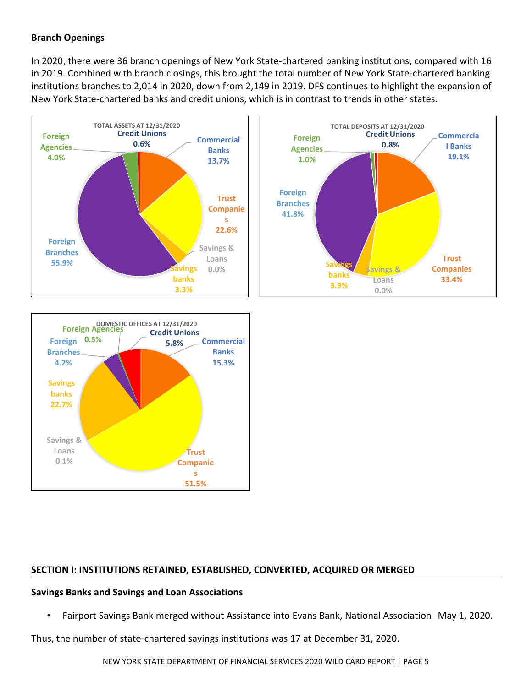# **Branch Openings**

In 2020, there were 36 branch openings of New York State-chartered banking institutions, compared with 16 in 2019. Combined with branch closings, this brought the total number of New York State-chartered banking institutions branches to 2,014 in 2020, down from 2,149 in 2019. DFS continues to highlight the expansion of New York State-chartered banks and credit unions, which is in contrast to trends in other states.

<span id="page-6-0"></span>



# **SECTION I: INSTITUTIONS RETAINED, ESTABLISHED, CONVERTED, ACQUIRED OR MERGED**

#### <span id="page-6-1"></span>**Savings Banks and Savings and Loan Associations**

• Fairport Savings Bank merged without Assistance into Evans Bank, National Association May 1, 2020.

Thus, the number of state-chartered savings institutions was 17 at December 31, 2020.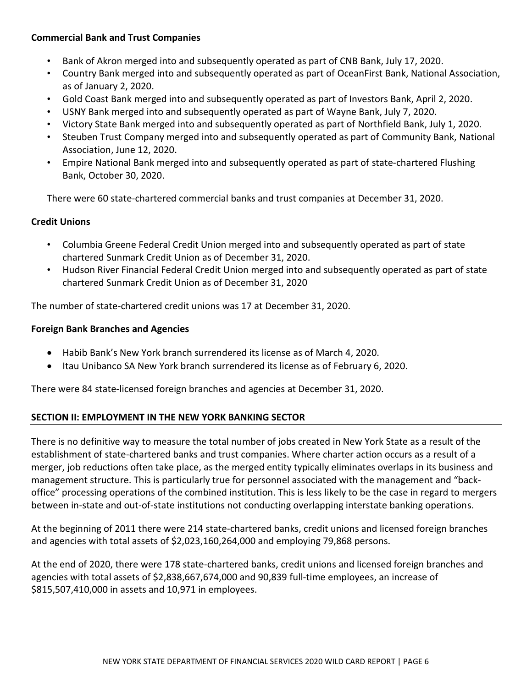# <span id="page-7-0"></span>**Commercial Bank and Trust Companies**

- Bank of Akron merged into and subsequently operated as part of CNB Bank, July 17, 2020.
- Country Bank merged into and subsequently operated as part of OceanFirst Bank, National Association, as of January 2, 2020.
- Gold Coast Bank merged into and subsequently operated as part of Investors Bank, April 2, 2020.
- USNY Bank merged into and subsequently operated as part of Wayne Bank, July 7, 2020.
- Victory State Bank merged into and subsequently operated as part of Northfield Bank, July 1, 2020.
- Steuben Trust Company merged into and subsequently operated as part of Community Bank, National Association, June 12, 2020.
- Empire National Bank merged into and subsequently operated as part of state-chartered Flushing Bank, October 30, 2020.

There were 60 state-chartered commercial banks and trust companies at December 31, 2020.

# <span id="page-7-1"></span>**Credit Unions**

- Columbia Greene Federal Credit Union merged into and subsequently operated as part of state chartered Sunmark Credit Union as of December 31, 2020.
- Hudson River Financial Federal Credit Union merged into and subsequently operated as part of state chartered Sunmark Credit Union as of December 31, 2020

The number of state-chartered credit unions was 17 at December 31, 2020.

# <span id="page-7-2"></span>**Foreign Bank Branches and Agencies**

- Habib Bank's New York branch surrendered its license as of March 4, 2020.
- Itau Unibanco SA New York branch surrendered its license as of February 6, 2020.

There were 84 state-licensed foreign branches and agencies at December 31, 2020.

# <span id="page-7-3"></span>**SECTION II: EMPLOYMENT IN THE NEW YORK BANKING SECTOR**

There is no definitive way to measure the total number of jobs created in New York State as a result of the establishment of state-chartered banks and trust companies. Where charter action occurs as a result of a merger, job reductions often take place, as the merged entity typically eliminates overlaps in its business and management structure. This is particularly true for personnel associated with the management and "backoffice" processing operations of the combined institution. This is less likely to be the case in regard to mergers between in-state and out-of-state institutions not conducting overlapping interstate banking operations.

At the beginning of 2011 there were 214 state-chartered banks, credit unions and licensed foreign branches and agencies with total assets of \$2,023,160,264,000 and employing 79,868 persons.

At the end of 2020, there were 178 state-chartered banks, credit unions and licensed foreign branches and agencies with total assets of \$2,838,667,674,000 and 90,839 full-time employees, an increase of \$815,507,410,000 in assets and 10,971 in employees.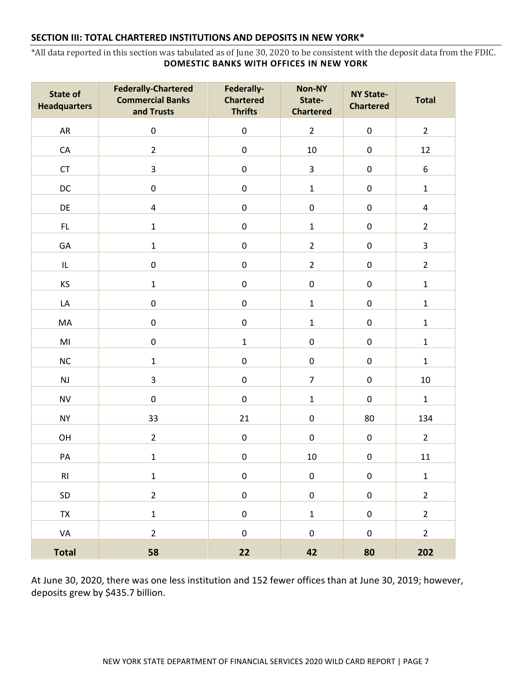#### <span id="page-8-0"></span>**SECTION III: TOTAL CHARTERED INSTITUTIONS AND DEPOSITS IN NEW YORK\***

<span id="page-8-1"></span>\*All data reported in this section was tabulated as of June 30, 2020 to be consistent with the deposit data from the FDIC. **DOMESTIC BANKS WITH OFFICES IN NEW YORK**

| <b>State of</b><br><b>Headquarters</b> | <b>Federally-Chartered</b><br><b>Commercial Banks</b><br>and Trusts | Federally-<br><b>Chartered</b><br><b>Thrifts</b> | <b>Non-NY</b><br>State-<br><b>Chartered</b> | <b>NY State-</b><br><b>Chartered</b> | <b>Total</b>     |
|----------------------------------------|---------------------------------------------------------------------|--------------------------------------------------|---------------------------------------------|--------------------------------------|------------------|
| ${\sf AR}$                             | $\pmb{0}$                                                           | $\pmb{0}$                                        | $\overline{2}$                              | $\pmb{0}$                            | $\overline{2}$   |
| ${\sf CA}$                             | $\overline{2}$                                                      | $\pmb{0}$                                        | 10                                          | $\pmb{0}$                            | 12               |
| CT                                     | 3                                                                   | $\pmb{0}$                                        | 3                                           | $\mathbf 0$                          | $\boldsymbol{6}$ |
| DC                                     | $\pmb{0}$                                                           | $\pmb{0}$                                        | $\mathbf{1}$                                | $\pmb{0}$                            | $\mathbf 1$      |
| DE                                     | $\overline{\mathbf{4}}$                                             | $\pmb{0}$                                        | $\pmb{0}$                                   | $\pmb{0}$                            | $\pmb{4}$        |
| $\mathsf{FL}$                          | $\mathbf 1$                                                         | $\mathbf 0$                                      | $\mathbf{1}$                                | $\pmb{0}$                            | $\overline{2}$   |
| GA                                     | $\mathbf{1}$                                                        | $\pmb{0}$                                        | $\overline{2}$                              | $\pmb{0}$                            | 3                |
| IL                                     | $\pmb{0}$                                                           | $\pmb{0}$                                        | $\overline{2}$                              | $\pmb{0}$                            | $\overline{2}$   |
| KS                                     | $\mathbf 1$                                                         | $\mathbf 0$                                      | $\pmb{0}$                                   | $\mathbf 0$                          | $\mathbf 1$      |
| LA                                     | $\pmb{0}$                                                           | $\mathbf 0$                                      | $\mathbf{1}$                                | $\pmb{0}$                            | $\mathbf 1$      |
| MA                                     | $\pmb{0}$                                                           | $\pmb{0}$                                        | $\mathbf 1$                                 | $\pmb{0}$                            | $\mathbf 1$      |
| $\mathsf{M}\mathsf{I}$                 | $\pmb{0}$                                                           | $\mathbf 1$                                      | $\pmb{0}$                                   | $\pmb{0}$                            | $\mathbf 1$      |
| $NC$                                   | $\mathbf{1}$                                                        | $\pmb{0}$                                        | $\pmb{0}$                                   | $\pmb{0}$                            | $\mathbf 1$      |
| $\mathsf{NJ}$                          | 3                                                                   | $\pmb{0}$                                        | $\overline{7}$                              | $\pmb{0}$                            | $10\,$           |
| <b>NV</b>                              | $\pmb{0}$                                                           | $\pmb{0}$                                        | $\mathbf 1$                                 | $\pmb{0}$                            | $\mathbf 1$      |
| <b>NY</b>                              | 33                                                                  | 21                                               | $\pmb{0}$                                   | 80                                   | 134              |
| OH                                     | $\overline{2}$                                                      | $\pmb{0}$                                        | $\pmb{0}$                                   | $\pmb{0}$                            | $\overline{2}$   |
| PA                                     | $\mathbf{1}$                                                        | $\pmb{0}$                                        | 10                                          | $\pmb{0}$                            | 11               |
| RI                                     | $\mathbf 1$                                                         | $\pmb{0}$                                        | $\pmb{0}$                                   | $\pmb{0}$                            | $\mathbf 1$      |
| SD                                     | $\overline{2}$                                                      | $\pmb{0}$                                        | $\pmb{0}$                                   | $\mathsf 0$                          | $\overline{2}$   |
| TX                                     | $\mathbf 1$                                                         | $\pmb{0}$                                        | $\mathbf 1$                                 | $\pmb{0}$                            | $\overline{2}$   |
| VA                                     | $\overline{2}$                                                      | $\pmb{0}$                                        | $\pmb{0}$                                   | $\mathbf 0$                          | $\mathbf 2$      |
| <b>Total</b>                           | 58                                                                  | 22                                               | 42                                          | 80                                   | 202              |

At June 30, 2020, there was one less institution and 152 fewer offices than at June 30, 2019; however, deposits grew by \$435.7 billion.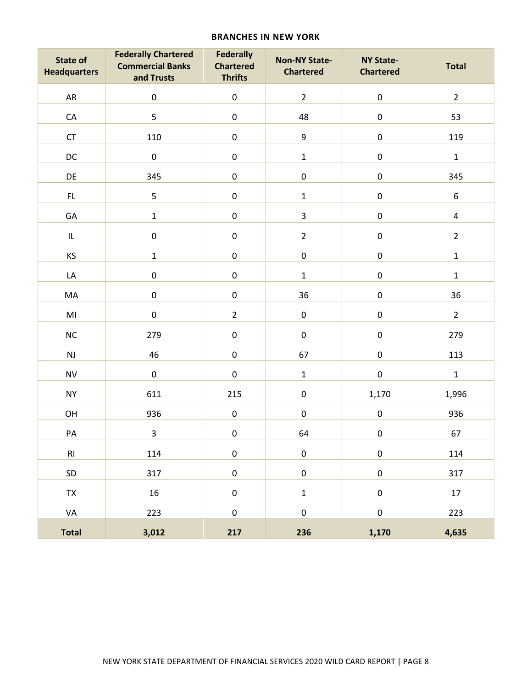#### **BRANCHES IN NEW YORK**

<span id="page-9-0"></span>

| <b>State of</b><br><b>Headquarters</b> | <b>Federally Chartered</b><br><b>Commercial Banks</b><br>and Trusts | <b>Federally</b><br><b>Chartered</b><br><b>Thrifts</b> | <b>Non-NY State-</b><br><b>Chartered</b> | <b>NY State-</b><br><b>Chartered</b> | <b>Total</b>            |
|----------------------------------------|---------------------------------------------------------------------|--------------------------------------------------------|------------------------------------------|--------------------------------------|-------------------------|
| AR                                     | $\mathsf 0$                                                         | $\mathsf 0$                                            | $\overline{2}$                           | $\pmb{0}$                            | $\overline{2}$          |
| ${\sf CA}$                             | 5                                                                   | $\pmb{0}$                                              | 48                                       | $\pmb{0}$                            | 53                      |
| ${\sf CT}$                             | 110                                                                 | $\pmb{0}$                                              | 9                                        | $\pmb{0}$                            | 119                     |
| DC                                     | $\mathsf 0$                                                         | $\mathsf 0$                                            | $\mathbf 1$                              | $\pmb{0}$                            | $\mathbf 1$             |
| DE                                     | 345                                                                 | $\mathsf 0$                                            | $\pmb{0}$                                | $\mathsf 0$                          | 345                     |
| FL.                                    | 5                                                                   | $\pmb{0}$                                              | $\mathbf 1$                              | $\pmb{0}$                            | $\boldsymbol{6}$        |
| GA                                     | $\mathbf 1$                                                         | $\pmb{0}$                                              | $\overline{3}$                           | $\pmb{0}$                            | $\overline{\mathbf{4}}$ |
| IL                                     | $\pmb{0}$                                                           | $\pmb{0}$                                              | $\overline{2}$                           | $\pmb{0}$                            | $\overline{2}$          |
| KS                                     | $\mathbf 1$                                                         | $\pmb{0}$                                              | $\pmb{0}$                                | $\pmb{0}$                            | $\mathbf 1$             |
| LA                                     | $\pmb{0}$                                                           | $\mathsf{O}\xspace$                                    | $\mathbf 1$                              | $\mathsf 0$                          | $\mathbf 1$             |
| MA                                     | $\pmb{0}$                                                           | $\mathsf 0$                                            | 36                                       | $\pmb{0}$                            | 36                      |
| $\mathsf{M}\mathsf{I}$                 | $\mathsf 0$                                                         | $\overline{2}$                                         | $\pmb{0}$                                | $\pmb{0}$                            | $\overline{2}$          |
| NC                                     | 279                                                                 | $\pmb{0}$                                              | $\pmb{0}$                                | $\pmb{0}$                            | 279                     |
| $\mathsf{NJ}$                          | 46                                                                  | $\mathsf 0$                                            | 67                                       | $\pmb{0}$                            | 113                     |
| <b>NV</b>                              | $\pmb{0}$                                                           | $\pmb{0}$                                              | $\mathbf 1$                              | $\pmb{0}$                            | $\mathbf 1$             |
| <b>NY</b>                              | 611                                                                 | 215                                                    | $\pmb{0}$                                | 1,170                                | 1,996                   |
| OH                                     | 936                                                                 | $\pmb{0}$                                              | $\pmb{0}$                                | $\pmb{0}$                            | 936                     |
| PA                                     | $\overline{3}$                                                      | $\pmb{0}$                                              | 64                                       | $\mathbf 0$                          | 67                      |
| RI                                     | 114                                                                 | $\mathsf{O}\xspace$                                    | $\pmb{0}$                                | $\pmb{0}$                            | 114                     |
| SD                                     | 317                                                                 | $\mathsf{O}\xspace$                                    | $\pmb{0}$                                | $\mathsf 0$                          | 317                     |
| TX                                     | 16                                                                  | $\pmb{0}$                                              | $\mathbf 1$                              | $\pmb{0}$                            | 17                      |
| VA                                     | 223                                                                 | $\mathsf 0$                                            | $\pmb{0}$                                | $\pmb{0}$                            | 223                     |
| <b>Total</b>                           | 3,012                                                               | 217                                                    | 236                                      | 1,170                                | 4,635                   |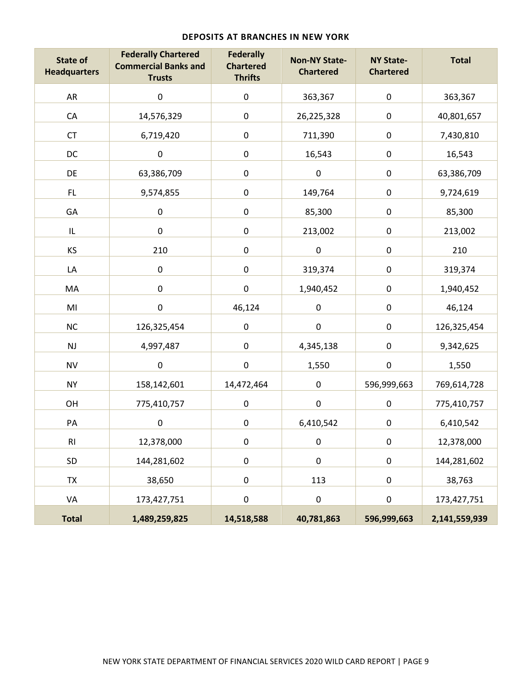<span id="page-10-0"></span>

| <b>State of</b><br><b>Headquarters</b> | <b>Federally Chartered</b><br><b>Commercial Banks and</b><br><b>Trusts</b> | <b>Federally</b><br><b>Chartered</b><br><b>Thrifts</b> | <b>Non-NY State-</b><br><b>Chartered</b> | <b>NY State-</b><br><b>Chartered</b> | <b>Total</b>  |
|----------------------------------------|----------------------------------------------------------------------------|--------------------------------------------------------|------------------------------------------|--------------------------------------|---------------|
| AR                                     | $\pmb{0}$                                                                  | $\pmb{0}$                                              | 363,367                                  | $\pmb{0}$                            | 363,367       |
| ${\sf CA}$                             | 14,576,329                                                                 | $\pmb{0}$                                              | 26,225,328                               | $\pmb{0}$                            | 40,801,657    |
| CT                                     | 6,719,420                                                                  | $\pmb{0}$                                              | 711,390                                  | $\pmb{0}$                            | 7,430,810     |
| DC                                     | $\pmb{0}$                                                                  | $\pmb{0}$                                              | 16,543                                   | $\pmb{0}$                            | 16,543        |
| DE                                     | 63,386,709                                                                 | $\pmb{0}$                                              | $\pmb{0}$                                | $\pmb{0}$                            | 63,386,709    |
| FL.                                    | 9,574,855                                                                  | $\pmb{0}$                                              | 149,764                                  | $\pmb{0}$                            | 9,724,619     |
| GA                                     | $\pmb{0}$                                                                  | $\pmb{0}$                                              | 85,300                                   | $\pmb{0}$                            | 85,300        |
| IL                                     | $\pmb{0}$                                                                  | $\pmb{0}$                                              | 213,002                                  | $\pmb{0}$                            | 213,002       |
| KS                                     | 210                                                                        | $\pmb{0}$                                              | $\pmb{0}$                                | $\pmb{0}$                            | 210           |
| LA                                     | $\pmb{0}$                                                                  | $\pmb{0}$                                              | 319,374                                  | $\pmb{0}$                            | 319,374       |
| MA                                     | $\pmb{0}$                                                                  | $\pmb{0}$                                              | 1,940,452                                | $\pmb{0}$                            | 1,940,452     |
| MI                                     | $\pmb{0}$                                                                  | 46,124                                                 | $\pmb{0}$                                | $\pmb{0}$                            | 46,124        |
| <b>NC</b>                              | 126,325,454                                                                | $\pmb{0}$                                              | $\pmb{0}$                                | $\pmb{0}$                            | 126,325,454   |
| <b>NJ</b>                              | 4,997,487                                                                  | $\pmb{0}$                                              | 4,345,138                                | $\pmb{0}$                            | 9,342,625     |
| <b>NV</b>                              | $\pmb{0}$                                                                  | $\pmb{0}$                                              | 1,550                                    | $\pmb{0}$                            | 1,550         |
| <b>NY</b>                              | 158,142,601                                                                | 14,472,464                                             | 0                                        | 596,999,663                          | 769,614,728   |
| OH                                     | 775,410,757                                                                | $\pmb{0}$                                              | $\pmb{0}$                                | $\pmb{0}$                            | 775,410,757   |
| PA                                     | $\pmb{0}$                                                                  | $\pmb{0}$                                              | 6,410,542                                | $\pmb{0}$                            | 6,410,542     |
| R1                                     | 12,378,000                                                                 | $\pmb{0}$                                              | $\pmb{0}$                                | $\pmb{0}$                            | 12,378,000    |
| SD                                     | 144,281,602                                                                | $\pmb{0}$                                              | $\pmb{0}$                                | $\pmb{0}$                            | 144,281,602   |
| TX                                     | 38,650                                                                     | $\pmb{0}$                                              | 113                                      | $\pmb{0}$                            | 38,763        |
| VA                                     | 173,427,751                                                                | $\pmb{0}$                                              | $\pmb{0}$                                | $\pmb{0}$                            | 173,427,751   |
| <b>Total</b>                           | 1,489,259,825                                                              | 14,518,588                                             | 40,781,863                               | 596,999,663                          | 2,141,559,939 |

#### **DEPOSITS AT BRANCHES IN NEW YORK**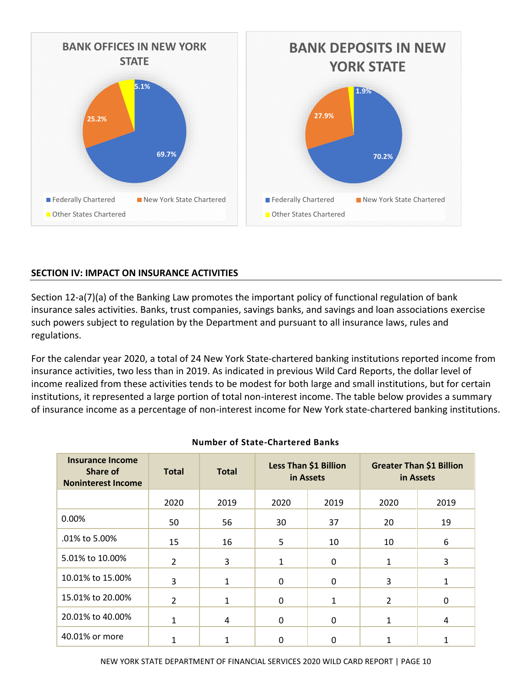

# <span id="page-11-0"></span>**SECTION IV: IMPACT ON INSURANCE ACTIVITIES**

Section 12-a(7)(a) of the Banking Law promotes the important policy of functional regulation of bank insurance sales activities. Banks, trust companies, savings banks, and savings and loan associations exercise such powers subject to regulation by the Department and pursuant to all insurance laws, rules and regulations.

For the calendar year 2020, a total of 24 New York State-chartered banking institutions reported income from insurance activities, two less than in 2019. As indicated in previous Wild Card Reports, the dollar level of income realized from these activities tends to be modest for both large and small institutions, but for certain institutions, it represented a large portion of total non-interest income. The table below provides a summary of insurance income as a percentage of non-interest income for New York state-chartered banking institutions.

| <b>Insurance Income</b><br><b>Share of</b><br><b>Noninterest Income</b> | <b>Total</b>   | <b>Total</b> | Less Than \$1 Billion<br>in Assets |              | <b>Greater Than \$1 Billion</b><br>in Assets |      |
|-------------------------------------------------------------------------|----------------|--------------|------------------------------------|--------------|----------------------------------------------|------|
|                                                                         | 2020           | 2019         | 2020                               | 2019         | 2020                                         | 2019 |
| 0.00%                                                                   | 50             | 56           | 30                                 | 37           | 20                                           | 19   |
| .01% to 5.00%                                                           | 15             | 16           | 5                                  | 10           | 10                                           | 6    |
| 5.01% to 10.00%                                                         | $\overline{2}$ | 3            |                                    | $\mathbf{0}$ | 1                                            | 3    |
| 10.01% to 15.00%                                                        | 3              | 1            | 0                                  | $\mathbf{0}$ | 3                                            | 1    |
| 15.01% to 20.00%                                                        | $\overline{2}$ | 1            | 0                                  | 1            | $\overline{2}$                               | 0    |
| 20.01% to 40.00%                                                        | $\mathbf{1}$   | 4            | 0                                  | $\mathbf{0}$ | 1                                            | 4    |
| 40.01% or more                                                          | 1              |              | 0                                  | 0            |                                              |      |

#### **Number of State-Chartered Banks**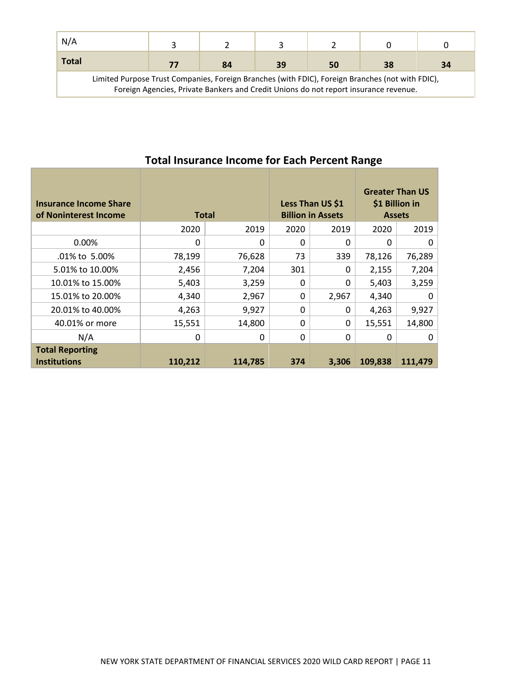| N/A                                                                                                                                                                                      |    |    |    |    |    |    |
|------------------------------------------------------------------------------------------------------------------------------------------------------------------------------------------|----|----|----|----|----|----|
| Total                                                                                                                                                                                    | 77 | 84 | 39 | 50 | 38 | 34 |
| Limited Purpose Trust Companies, Foreign Branches (with FDIC), Foreign Branches (not with FDIC),<br>Foreign Agencies, Private Bankers and Credit Unions do not report insurance revenue. |    |    |    |    |    |    |

| <b>Insurance Income Share</b><br>of Noninterest Income | <b>Total</b> |         |              | Less Than US \$1<br><b>Billion in Assets</b> | <b>Greater Than US</b><br>\$1 Billion in<br><b>Assets</b> |         |
|--------------------------------------------------------|--------------|---------|--------------|----------------------------------------------|-----------------------------------------------------------|---------|
|                                                        | 2020         | 2019    | 2020         | 2019                                         | 2020                                                      | 2019    |
| 0.00%                                                  | 0            | 0       | $\Omega$     | 0                                            | $\Omega$                                                  | 0       |
| .01% to 5.00%                                          | 78,199       | 76,628  | 73           | 339                                          | 78,126                                                    | 76,289  |
| 5.01% to 10.00%                                        | 2,456        | 7,204   | 301          | 0                                            | 2,155                                                     | 7,204   |
| 10.01% to 15.00%                                       | 5,403        | 3,259   | 0            | 0                                            | 5,403                                                     | 3,259   |
| 15.01% to 20.00%                                       | 4,340        | 2,967   | $\mathbf{0}$ | 2,967                                        | 4,340                                                     | 0       |
| 20.01% to 40.00%                                       | 4,263        | 9,927   | $\mathbf{0}$ | 0                                            | 4,263                                                     | 9,927   |
| 40.01% or more                                         | 15,551       | 14,800  | 0            | 0                                            | 15,551                                                    | 14,800  |
| N/A                                                    | 0            | 0       | 0            | 0                                            | 0                                                         | 0       |
| <b>Total Reporting</b><br><b>Institutions</b>          | 110,212      | 114,785 | 374          | 3,306                                        | 109,838                                                   | 111,479 |

# **Total Insurance Income for Each Percent Range**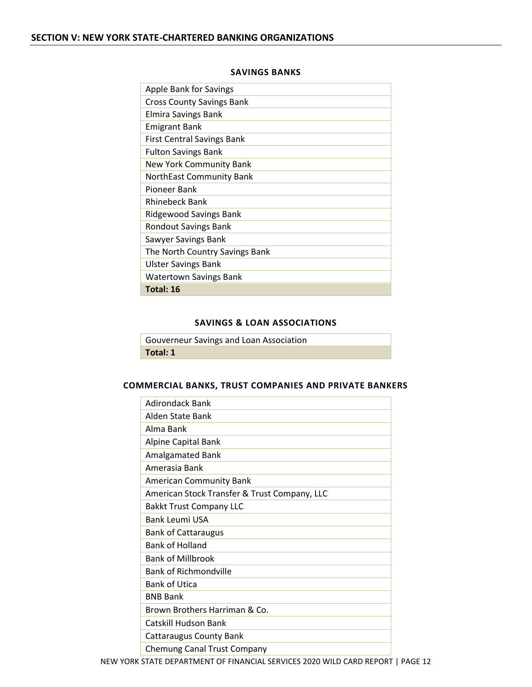#### **SAVINGS BANKS**

<span id="page-13-1"></span><span id="page-13-0"></span>

| <b>Apple Bank for Savings</b>     |
|-----------------------------------|
|                                   |
| <b>Cross County Savings Bank</b>  |
| <b>Elmira Savings Bank</b>        |
| <b>Emigrant Bank</b>              |
| <b>First Central Savings Bank</b> |
| <b>Fulton Savings Bank</b>        |
| New York Community Bank           |
| <b>NorthEast Community Bank</b>   |
| Pioneer Bank                      |
| <b>Rhinebeck Bank</b>             |
| Ridgewood Savings Bank            |
| <b>Rondout Savings Bank</b>       |
| Sawyer Savings Bank               |
| The North Country Savings Bank    |
| <b>Ulster Savings Bank</b>        |
| Watertown Savings Bank            |
| Total: 16                         |

#### **SAVINGS & LOAN ASSOCIATIONS**

<span id="page-13-2"></span>

| Gouverneur Savings and Loan Association |  |
|-----------------------------------------|--|
| Total: 1                                |  |

#### <span id="page-13-3"></span>**COMMERCIAL BANKS, TRUST COMPANIES AND PRIVATE BANKERS**

| Adirondack Bank                              |
|----------------------------------------------|
| Alden State Bank                             |
| Alma Bank                                    |
| <b>Alpine Capital Bank</b>                   |
| Amalgamated Bank                             |
| Amerasia Bank                                |
| <b>American Community Bank</b>               |
| American Stock Transfer & Trust Company, LLC |
| <b>Bakkt Trust Company LLC</b>               |
| Bank Leumi USA                               |
| <b>Bank of Cattaraugus</b>                   |
| <b>Bank of Holland</b>                       |
| <b>Bank of Millbrook</b>                     |
| <b>Bank of Richmondville</b>                 |
| <b>Bank of Utica</b>                         |
| <b>BNB Bank</b>                              |
| Brown Brothers Harriman & Co.                |
| Catskill Hudson Bank                         |
| <b>Cattaraugus County Bank</b>               |
| <b>Chemung Canal Trust Company</b>           |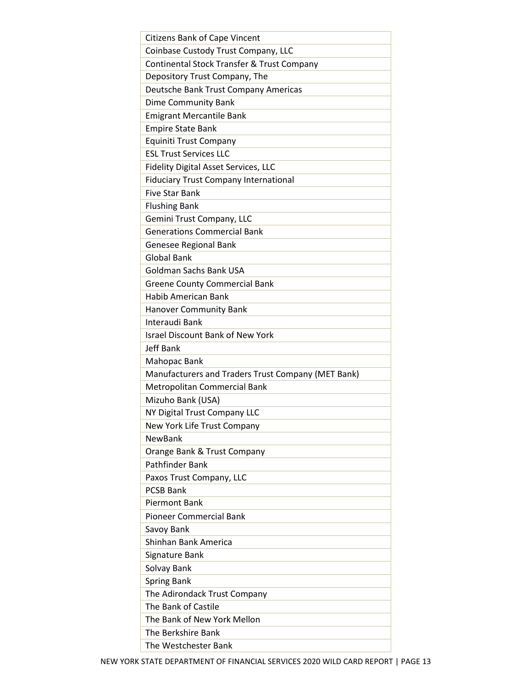| <b>Citizens Bank of Cape Vincent</b>               |
|----------------------------------------------------|
| Coinbase Custody Trust Company, LLC                |
| Continental Stock Transfer & Trust Company         |
| Depository Trust Company, The                      |
| Deutsche Bank Trust Company Americas               |
| Dime Community Bank                                |
| <b>Emigrant Mercantile Bank</b>                    |
| <b>Empire State Bank</b>                           |
| <b>Equiniti Trust Company</b>                      |
| <b>ESL Trust Services LLC</b>                      |
| <b>Fidelity Digital Asset Services, LLC</b>        |
| <b>Fiduciary Trust Company International</b>       |
| <b>Five Star Bank</b>                              |
| <b>Flushing Bank</b>                               |
| Gemini Trust Company, LLC                          |
| <b>Generations Commercial Bank</b>                 |
| Genesee Regional Bank                              |
| <b>Global Bank</b>                                 |
| Goldman Sachs Bank USA                             |
| <b>Greene County Commercial Bank</b>               |
| <b>Habib American Bank</b>                         |
| <b>Hanover Community Bank</b>                      |
| Interaudi Bank                                     |
| <b>Israel Discount Bank of New York</b>            |
|                                                    |
| <b>Jeff Bank</b>                                   |
|                                                    |
| Mahopac Bank                                       |
| Manufacturers and Traders Trust Company (MET Bank) |
| Metropolitan Commercial Bank                       |
| Mizuho Bank (USA)                                  |
| NY Digital Trust Company LLC                       |
| New York Life Trust Company<br><b>NewBank</b>      |
|                                                    |
| Orange Bank & Trust Company                        |
| Pathfinder Bank                                    |
| Paxos Trust Company, LLC                           |
| <b>PCSB Bank</b>                                   |
| <b>Piermont Bank</b>                               |
| <b>Pioneer Commercial Bank</b>                     |
| Savoy Bank                                         |
| Shinhan Bank America                               |
| Signature Bank                                     |
| Solvay Bank                                        |
| <b>Spring Bank</b>                                 |
| The Adirondack Trust Company                       |
| The Bank of Castile                                |
| The Bank of New York Mellon                        |
| The Berkshire Bank<br>The Westchester Bank         |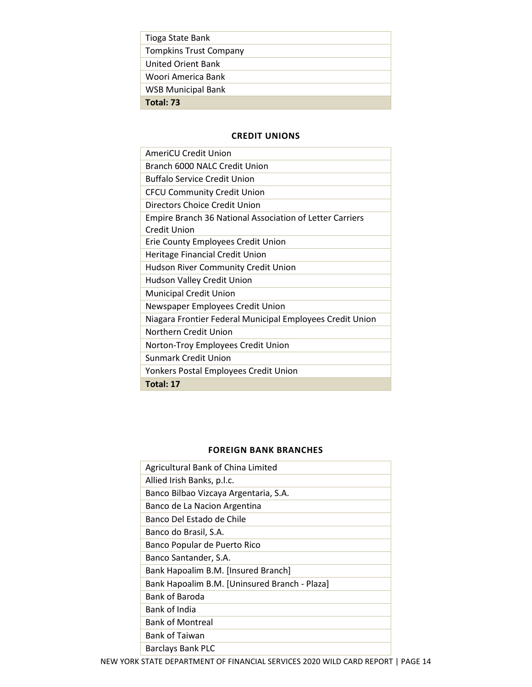| Tioga State Bank              |
|-------------------------------|
| <b>Tompkins Trust Company</b> |
| United Orient Bank            |
| Woori America Bank            |
| <b>WSB Municipal Bank</b>     |
| Total: 73                     |

#### **CREDIT UNIONS**

<span id="page-15-0"></span>

| <b>AmeriCU Credit Union</b>                                     |
|-----------------------------------------------------------------|
| Branch 6000 NALC Credit Union                                   |
| <b>Buffalo Service Credit Union</b>                             |
| <b>CFCU Community Credit Union</b>                              |
| Directors Choice Credit Union                                   |
| <b>Empire Branch 36 National Association of Letter Carriers</b> |
| Credit Union                                                    |
| Erie County Employees Credit Union                              |
| Heritage Financial Credit Union                                 |
| Hudson River Community Credit Union                             |
| Hudson Valley Credit Union                                      |
| <b>Municipal Credit Union</b>                                   |
| Newspaper Employees Credit Union                                |
| Niagara Frontier Federal Municipal Employees Credit Union       |
| Northern Credit Union                                           |
| Norton-Troy Employees Credit Union                              |
| Sunmark Credit Union                                            |
| Yonkers Postal Employees Credit Union                           |
| Total: 17                                                       |

### **FOREIGN BANK BRANCHES**

<span id="page-15-1"></span>

| Agricultural Bank of China Limited            |
|-----------------------------------------------|
| Allied Irish Banks, p.l.c.                    |
| Banco Bilbao Vizcaya Argentaria, S.A.         |
| Banco de La Nacion Argentina                  |
| Banco Del Estado de Chile                     |
| Banco do Brasil, S.A.                         |
| Banco Popular de Puerto Rico                  |
| Banco Santander, S.A.                         |
| Bank Hapoalim B.M. [Insured Branch]           |
| Bank Hapoalim B.M. [Uninsured Branch - Plaza] |
| <b>Bank of Baroda</b>                         |
| Bank of India                                 |
| <b>Bank of Montreal</b>                       |
| <b>Bank of Taiwan</b>                         |
| Barclays Bank PLC                             |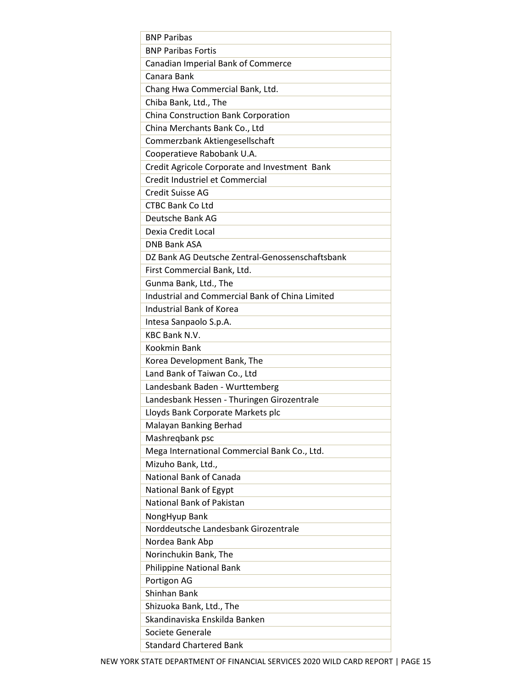| <b>BNP Paribas</b>                              |
|-------------------------------------------------|
| <b>BNP Paribas Fortis</b>                       |
| Canadian Imperial Bank of Commerce              |
| Canara Bank                                     |
| Chang Hwa Commercial Bank, Ltd.                 |
| Chiba Bank, Ltd., The                           |
| China Construction Bank Corporation             |
| China Merchants Bank Co., Ltd                   |
| Commerzbank Aktiengesellschaft                  |
| Cooperatieve Rabobank U.A.                      |
| Credit Agricole Corporate and Investment Bank   |
| Credit Industriel et Commercial                 |
| Credit Suisse AG                                |
| <b>CTBC Bank Co Ltd</b>                         |
| Deutsche Bank AG                                |
| Dexia Credit Local                              |
| <b>DNB Bank ASA</b>                             |
| DZ Bank AG Deutsche Zentral-Genossenschaftsbank |
| First Commercial Bank, Ltd.                     |
| Gunma Bank, Ltd., The                           |
| Industrial and Commercial Bank of China Limited |
| <b>Industrial Bank of Korea</b>                 |
| Intesa Sanpaolo S.p.A.                          |
| <b>KBC Bank N.V.</b>                            |
| <b>Kookmin Bank</b>                             |
| Korea Development Bank, The                     |
| Land Bank of Taiwan Co., Ltd                    |
| Landesbank Baden - Wurttemberg                  |
| Landesbank Hessen - Thuringen Girozentrale      |
| Lloyds Bank Corporate Markets plc               |
| Malayan Banking Berhad                          |
| Mashregbank psc                                 |
| Mega International Commercial Bank Co., Ltd.    |
| Mizuho Bank, Ltd.,                              |
| National Bank of Canada                         |
| National Bank of Egypt                          |
| National Bank of Pakistan                       |
| NongHyup Bank                                   |
| Norddeutsche Landesbank Girozentrale            |
| Nordea Bank Abp                                 |
| Norinchukin Bank, The                           |
| <b>Philippine National Bank</b>                 |
| Portigon AG                                     |
| Shinhan Bank                                    |
| Shizuoka Bank, Ltd., The                        |
| Skandinaviska Enskilda Banken                   |
| Societe Generale                                |
| <b>Standard Chartered Bank</b>                  |
|                                                 |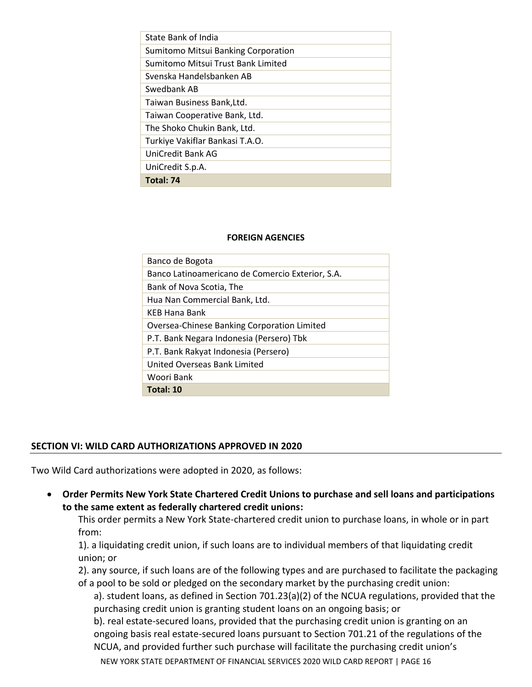| Total: 74                           |
|-------------------------------------|
| UniCredit S.p.A.                    |
| UniCredit Bank AG                   |
| Turkiye Vakiflar Bankasi T.A.O.     |
| The Shoko Chukin Bank, Ltd.         |
| Taiwan Cooperative Bank, Ltd.       |
| Taiwan Business Bank, Ltd.          |
| Swedbank AB                         |
| Svenska Handelsbanken AB            |
| Sumitomo Mitsui Trust Bank Limited  |
| Sumitomo Mitsui Banking Corporation |
| State Bank of India                 |
|                                     |

#### **FOREIGN AGENCIES**

<span id="page-17-0"></span>

| Banco de Bogota                                  |
|--------------------------------------------------|
| Banco Latinoamericano de Comercio Exterior, S.A. |
| Bank of Nova Scotia, The                         |
| Hua Nan Commercial Bank, Ltd.                    |
| <b>KEB Hana Bank</b>                             |
| Oversea-Chinese Banking Corporation Limited      |
| P.T. Bank Negara Indonesia (Persero) Tbk         |
| P.T. Bank Rakyat Indonesia (Persero)             |
| United Overseas Bank Limited                     |
| Woori Bank                                       |
| Total: 10                                        |

# <span id="page-17-1"></span>**SECTION VI: WILD CARD AUTHORIZATIONS APPROVED IN 2020**

Two Wild Card authorizations were adopted in 2020, as follows:

• **Order Permits New York State Chartered Credit Unions to purchase and sell loans and participations to the same extent as federally chartered credit unions:**

This order permits a New York State-chartered credit union to purchase loans, in whole or in part from:

1). a liquidating credit union, if such loans are to individual members of that liquidating credit union; or

2). any source, if such loans are of the following types and are purchased to facilitate the packaging of a pool to be sold or pledged on the secondary market by the purchasing credit union:

a). student loans, as defined in Section 701.23(a)(2) of the NCUA regulations, provided that the purchasing credit union is granting student loans on an ongoing basis; or

b). real estate-secured loans, provided that the purchasing credit union is granting on an ongoing basis real estate-secured loans pursuant to Section 701.21 of the regulations of the NCUA, and provided further such purchase will facilitate the purchasing credit union's

NEW YORK STATE DEPARTMENT OF FINANCIAL SERVICES 2020 WILD CARD REPORT | PAGE 16